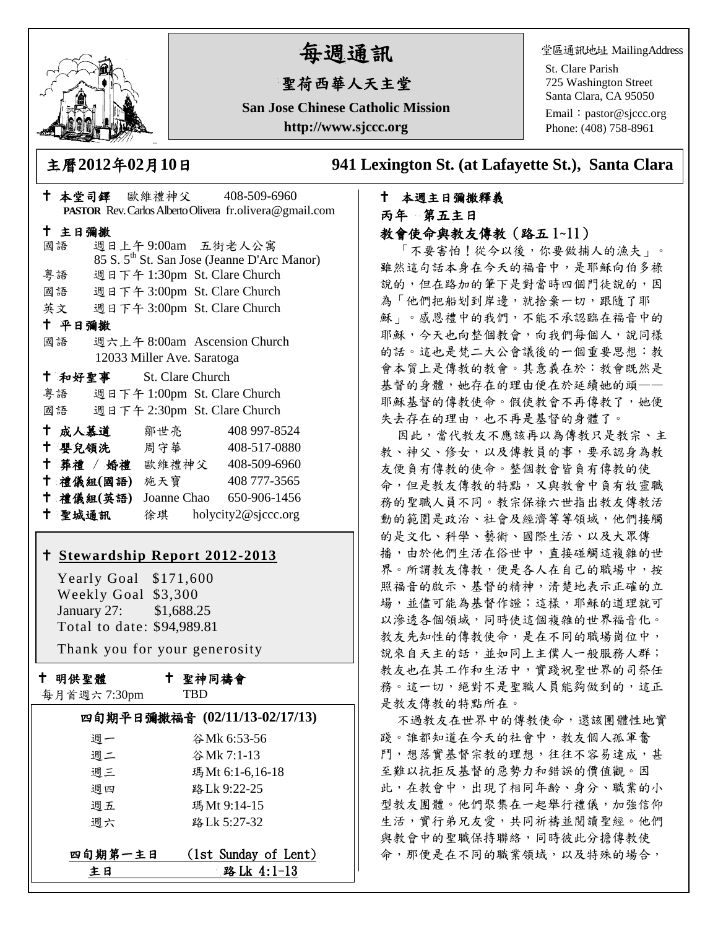

# 每週通訊

## 聖荷西華人天主堂

**San Jose Chinese Catholic Mission http://www.sjccc.org**

堂區通訊地址 MailingAddress

St. Clare Parish 725 Washington Street Santa Clara, CA 95050

Email: [pastor@sjccc.org](mailto:pastor@sjccc.org) Phone: (408) 758-8961

主曆**2012**年**02**月**10**日 **941 Lexington St. (at Lafayette St.), Santa Clara** 

### 本週主日彌撒釋義 丙年 第五主日 教會使命與教友傳教(路五 1~11)

「不要害怕!從今以後,你要做捕人的漁夫」。 雖然這句話本身在今天的福音中,是耶穌向伯多祿 說的,但在路加的筆下是對當時四個門徒說的,因 為「他們把船划到岸邊,就捨棄一切,跟隨了耶 穌」。感恩禮中的我們,不能不承認臨在福音中的 耶穌,今天也向整個教會,向我們每個人,說同樣 的話。這也是梵二大公會議後的一個重要思想:教 會本質上是傳教的教會。其意義在於:教會既然是 基督的身體,她存在的理由便在於延續她的頭—— 耶穌基督的傳教使命。假使教會不再傳教了,她便 失去存在的理由,也不再是基督的身體了。

因此,當代教友不應該再以為傳教只是教宗、主 教、神父、修女,以及傳教員的事,要承認身為教 友便負有傳教的使命。整個教會皆負有傳教的使 命,但是教友傳教的特點,又與教會中負有牧靈職 務的聖職人員不同。教宗保祿六世指出教友傳教活 動的範圍是政治、社會及經濟等等領域,他們接觸 的是文化、科學、藝術、國際生活、以及大眾傳 播,由於他們生活在俗世中,直接碰觸這複雜的世 界。所謂教友傳教,便是各人在自己的職場中,按 照福音的啟示、基督的精神,清楚地表示正確的立 場,並儘可能為基督作證;這樣,耶穌的道理就可 以滲透各個領域,同時使這個複雜的世界福音化。 教友先知性的傳教使命,是在不同的職場崗位中, 說來自天主的話,並如同上主僕人一般服務人群; 教友也在其工作和生活中,實踐祝聖世界的司祭任 務。這一切,絕對不是聖職人員能夠做到的,這正 是教友傳教的特點所在。

不過教友在世界中的傳教使命,還該團體性地實 踐。誰都知道在今天的社會中,教友個人孤軍奮 鬥,想落實基督宗教的理想,往往不容易達成,甚 至難以抗拒反基督的惡勢力和錯誤的價值觀。因 此,在教會中,出現了相同年齡、身分、職業的小 型教友團體。他們聚集在一起舉行禮儀,加強信仰 生活,實行弟兄友愛,共同祈禱並閱讀聖經。他們 與教會中的聖職保持聯絡,同時彼此分擔傳教使 命,那便是在不同的職業領域,以及特殊的場合,

|        | $\equiv$ $\rightarrow$ $\sim$ $\sim$ $\sim$ $\sim$ |                            |                                                         |
|--------|----------------------------------------------------|----------------------------|---------------------------------------------------------|
|        |                                                    |                            | PASTOR Rev. Carlos Alberto Olivera fr.olivera@gmail.com |
| 十 主日彌撒 |                                                    |                            |                                                         |
| 國語     |                                                    | 週日上午9:00am 五街老人公寓          |                                                         |
|        |                                                    |                            | 85 S. 5 <sup>th</sup> St. San Jose (Jeanne D'Arc Manor) |
|        |                                                    |                            | 粤語 週日下午 1:30pm St. Clare Church                         |
|        |                                                    |                            | 國語 週日下午 3:00pm St. Clare Church                         |
|        |                                                    |                            | 英文 週日下午 3:00pm St. Clare Church                         |
| 十 平日彌撒 |                                                    |                            |                                                         |
| 國語     |                                                    |                            | 週六上午 8:00am Ascension Church                            |
|        |                                                    | 12033 Miller Ave. Saratoga |                                                         |
|        | <sup>†</sup> 和好聖事 St. Clare Church                 |                            |                                                         |
|        |                                                    |                            | 粤語 週日下午 1:00pm St. Clare Church                         |
|        |                                                    |                            | 國語 週日下午 2:30pm St. Clare Church                         |
|        | 十 成人慕道                                             | 鄒世亮                        | 408 997-8524                                            |
|        | ↑ 嬰兒領洗──周守華──                                      |                            | 408-517-0880                                            |
|        |                                                    |                            | † 葬禮 / 婚禮 歐維禮神父 408-509-6960                            |
|        | 十 禮儀組(國語) 施天寶                                      |                            | 408 777-3565                                            |
|        | 十 禮儀組(英語)                                          |                            | Joanne Chao 650-906-1456                                |
| 十 聖城通訊 |                                                    |                            | 徐琪 holycity2@sjccc.org                                  |
|        |                                                    |                            |                                                         |

十 木堂司鐸 歐維禮神父 408-509-6960

### **[Stewardship Report 2012-2013](http://sjccc.org/index.php/finance.html?src=bulletin112512)**

 Yearly Goal \$171,600 Weekly Goal \$3,300 January 27: \$1,688.25 Total to date: \$94,989.81

Thank you for your generosity

十 明供聖體

聖神同禱會

| $\sim$ 7.<br>__<br>$\mathbf{1}$<br>$\lambda$ | .mm<br>- 112 |
|----------------------------------------------|--------------|
|                                              |              |

TBD

|    | 四旬期平日彌撒福音 (02/11/13-02/17/13) |
|----|-------------------------------|
| 调一 | 谷Mk 6:53-56                   |

| 调二 | 谷Mk 7:1-13      |
|----|-----------------|
| 週三 | 瑪Mt 6:1-6,16-18 |
| 调四 | 路Lk 9:22-25     |
| 週五 | 瑪Mt 9:14-15     |
| 调六 | 路Lk 5:27-32     |
|    |                 |

| 四旬期第一主日 | $(1st$ Sunday of Lent) |
|---------|------------------------|
| 主日      | 路 Lk 4:1-13            |